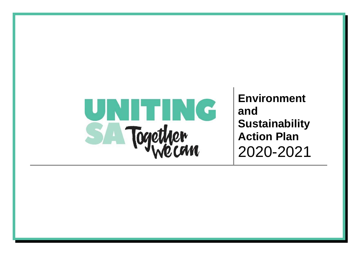

**Environment and Sustainability Action Plan**  2020-2021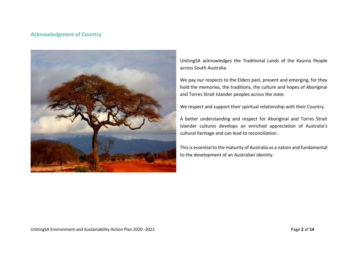## **Acknowledgment of Country**



UnitingSA acknowledges the Traditional Lands of the Kaurna People across South Australia.

We pay our respects to the Elders past, present and emerging, for they hold the memories, the traditions, the culture and hopes of Aboriginal and Torres Strait Islander peoples across the state.

We respect and support their spiritual relationship with their Country.

A better understanding and respect for Aboriginal and Torres Strait Islander cultures develops an enriched appreciation of Australia's cultural heritage and can lead to reconciliation.

This is essential to the maturity of Australia as a nation and fundamental to the development of an Australian identity.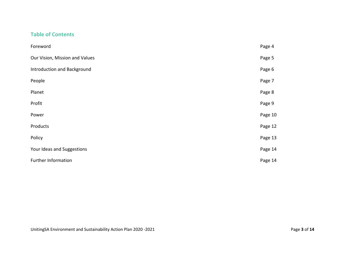## **Table of Contents**

| Foreword                       | Page 4  |
|--------------------------------|---------|
| Our Vision, Mission and Values | Page 5  |
| Introduction and Background    | Page 6  |
| People                         | Page 7  |
| Planet                         | Page 8  |
| Profit                         | Page 9  |
| Power                          | Page 10 |
| Products                       | Page 12 |
| Policy                         | Page 13 |
| Your Ideas and Suggestions     | Page 14 |
| <b>Further Information</b>     | Page 14 |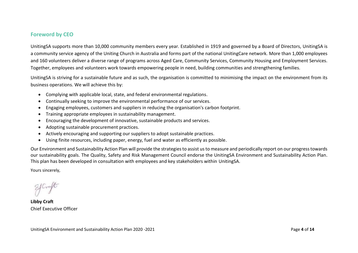## **Foreword by CEO**

UnitingSA supports more than 10,000 community members every year. Established in 1919 and governed by a Board of Directors, UnitingSA is a community service agency of the Uniting Church in Australia and forms part of the national UnitingCare network. More than 1,000 employees and 160 volunteers deliver a diverse range of programs across Aged Care, Community Services, Community Housing and Employment Services. Together, employees and volunteers work towards empowering people in need, building communities and strengthening families.

UnitingSA is striving for a sustainable future and as such, the organisation is committed to minimising the impact on the environment from its business operations. We will achieve this by:

- Complying with applicable local, state, and federal environmental regulations.
- Continually seeking to improve the environmental performance of our services.
- Engaging employees, customers and suppliers in reducing the organisation's carbon footprint.
- Training appropriate employees in sustainability management.
- Encouraging the development of innovative, sustainable products and services.
- Adopting sustainable procurement practices.
- Actively encouraging and supporting our suppliers to adopt sustainable practices.
- Using finite resources, including paper, energy, fuel and water as efficiently as possible.

Our Environment and Sustainability Action Plan will provide the strategiesto assist us to measure and periodically report on our progress towards our sustainability goals. The Quality, Safety and Risk Management Council endorse the UnitingSA Environment and Sustainability Action Plan. This plan has been developed in consultation with employees and key stakeholders within UnitingSA.

Yours sincerely,

**Libby Craft** Chief Executive Officer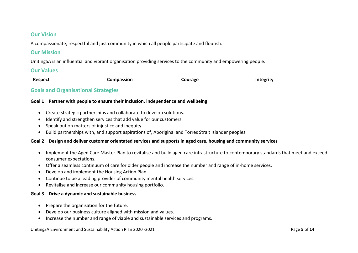### **Our Vision**

A compassionate, respectful and just community in which all people participate and flourish.

### **Our Mission**

UnitingSA is an influential and vibrant organisation providing services to the community and empowering people.

### **Our Values**

| Respect | Compassion | Courage | <b>Integrity</b> |
|---------|------------|---------|------------------|
|         |            |         |                  |

### **Goals and Organisational Strategies**

### **Goal 1 Partner with people to ensure their inclusion, independence and wellbeing**

- Create strategic partnerships and collaborate to develop solutions.
- $\bullet$  Identify and strengthen services that add value for our customers.
- Speak out on matters of injustice and inequity.
- Build partnerships with, and support aspirations of, Aboriginal and Torres Strait Islander peoples.

### **Goal 2 Design and deliver customer orientated services and supports in aged care, housing and community services**

- Implement the Aged Care Master Plan to revitalise and build aged care infrastructure to contemporary standards that meet and exceed consumer expectations.
- Offer a seamless continuum of care for older people and increase the number and range of in-home services.
- Develop and implement the Housing Action Plan.
- Continue to be a leading provider of community mental health services.
- Revitalise and increase our community housing portfolio.

#### **Goal 3 Drive a dynamic and sustainable business**

- Prepare the organisation for the future.
- Develop our business culture aligned with mission and values.
- Increase the number and range of viable and sustainable services and programs.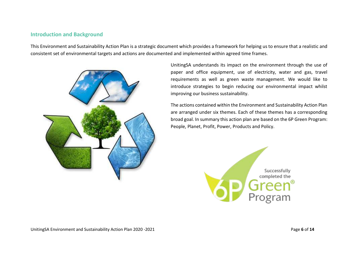### **Introduction and Background**

This Environment and Sustainability Action Plan is a strategic document which provides a framework for helping us to ensure that a realistic and consistent set of environmental targets and actions are documented and implemented within agreed time frames.



UnitingSA understands its impact on the environment through the use of paper and office equipment, use of electricity, water and gas, travel requirements as well as green waste management. We would like to introduce strategies to begin reducing our environmental impact whilst improving our business sustainability.

The actions contained within the Environment and Sustainability Action Plan are arranged under six themes. Each of these themes has a corresponding broad goal. In summary this action plan are based on the 6P Green Program: People, Planet, Profit, Power, Products and Policy.

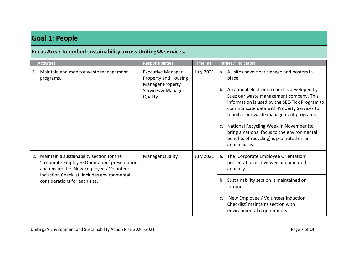# **Goal 1: People**

# **Focus Area: To embed sustainability across UnitingSA services.**

|    | <b>Activities</b>                                                                                                                      | <b>Responsibilities</b>                                  | <b>Timeline</b>  | <b>Target / Indicators</b>                                                                                                                                |
|----|----------------------------------------------------------------------------------------------------------------------------------------|----------------------------------------------------------|------------------|-----------------------------------------------------------------------------------------------------------------------------------------------------------|
| 1. | Maintain and monitor waste management<br><b>Executive Manager</b><br>Property and Housing,<br>programs.                                | <b>Manager Property</b><br>Services & Manager<br>Quality | <b>July 2021</b> | a. All sites have clear signage and posters in<br>place.                                                                                                  |
|    |                                                                                                                                        |                                                          |                  |                                                                                                                                                           |
|    |                                                                                                                                        |                                                          |                  | National Recycling Week in November (to<br>c.<br>bring a national focus to the environmental<br>benefits of recycling) is promoted on an<br>annual basis. |
| 2. | Maintain a sustainability section for the<br>'Corporate Employee Orientation' presentation<br>and ensure the 'New Employee / Volunteer | <b>Manager Quality</b>                                   | <b>July 2021</b> | The 'Corporate Employee Orientation'<br>a.<br>presentation is reviewed and updated<br>annually.                                                           |
|    | Induction Checklist' includes environmental<br>considerations for each site.                                                           |                                                          |                  | b. Sustainability section is maintained on<br>Intranet.                                                                                                   |
|    |                                                                                                                                        |                                                          |                  | 'New Employee / Volunteer Induction<br>$\mathsf{C}$ .<br>Checklist' maintains section with<br>environmental requirements.                                 |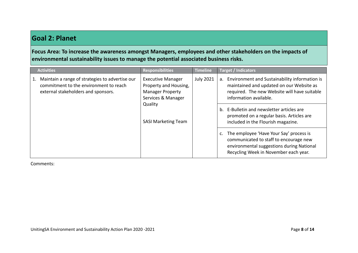# **Goal 2: Planet**

**Focus Area: To increase the awareness amongst Managers, employees and other stakeholders on the impacts of environmental sustainability issues to manage the potential associated business risks.**

| <b>Activities</b>                                                                                                                | <b>Responsibilities</b>                                                                                                                     | <b>Timeline</b>  | <b>Target / Indicators</b>                                                                                                                                                                                                                                                                                        |                                                                                                                                                                         |
|----------------------------------------------------------------------------------------------------------------------------------|---------------------------------------------------------------------------------------------------------------------------------------------|------------------|-------------------------------------------------------------------------------------------------------------------------------------------------------------------------------------------------------------------------------------------------------------------------------------------------------------------|-------------------------------------------------------------------------------------------------------------------------------------------------------------------------|
| Maintain a range of strategies to advertise our<br>commitment to the environment to reach<br>external stakeholders and sponsors. | <b>Executive Manager</b><br>Property and Housing,<br><b>Manager Property</b><br>Services & Manager<br>Quality<br><b>SASI Marketing Team</b> | <b>July 2021</b> | Environment and Sustainability information is<br>a.<br>maintained and updated on our Website as<br>required. The new Website will have suitable<br>information available.<br>E-Bulletin and newsletter articles are<br>$b_{1}$<br>promoted on a regular basis. Articles are<br>included in the Flourish magazine. |                                                                                                                                                                         |
|                                                                                                                                  |                                                                                                                                             |                  |                                                                                                                                                                                                                                                                                                                   | The employee 'Have Your Say' process is<br>communicated to staff to encourage new<br>environmental suggestions during National<br>Recycling Week in November each year. |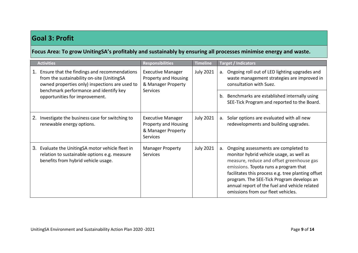# **Goal 3: Profit**

## **Focus Area: To grow UnitingSA's profitably and sustainably by ensuring all processes minimise energy and waste.**

|    | <b>Activities</b>                                                                                                                                                                      | <b>Responsibilities</b>                                                                          | <b>Timeline</b>  | <b>Target / Indicators</b>                                                                                                                                                                                                                                                                                                                                             |  |                                                                                                                               |
|----|----------------------------------------------------------------------------------------------------------------------------------------------------------------------------------------|--------------------------------------------------------------------------------------------------|------------------|------------------------------------------------------------------------------------------------------------------------------------------------------------------------------------------------------------------------------------------------------------------------------------------------------------------------------------------------------------------------|--|-------------------------------------------------------------------------------------------------------------------------------|
| 1. | Ensure that the findings and recommendations<br>from the sustainability on-site (UnitingSA<br>owned properties only) inspections are used to<br>benchmark performance and identify key | <b>Executive Manager</b><br><b>Property and Housing</b><br>& Manager Property<br><b>Services</b> | <b>July 2021</b> |                                                                                                                                                                                                                                                                                                                                                                        |  | Ongoing roll out of LED lighting upgrades and<br>a.<br>waste management strategies are improved in<br>consultation with Suez. |
|    | opportunities for improvement.                                                                                                                                                         |                                                                                                  |                  | b. Benchmarks are established internally using<br>SEE-Tick Program and reported to the Board.                                                                                                                                                                                                                                                                          |  |                                                                                                                               |
| 2. | Investigate the business case for switching to<br>renewable energy options.                                                                                                            | <b>Executive Manager</b><br><b>Property and Housing</b><br>& Manager Property<br><b>Services</b> | <b>July 2021</b> | Solar options are evaluated with all new<br>a.<br>redevelopments and building upgrades.                                                                                                                                                                                                                                                                                |  |                                                                                                                               |
| 3. | Evaluate the UnitingSA motor vehicle fleet in<br>relation to sustainable options e.g. measure<br>benefits from hybrid vehicle usage.                                                   | <b>Manager Property</b><br><b>Services</b>                                                       | <b>July 2021</b> | Ongoing assessments are completed to<br>a.<br>monitor hybrid vehicle usage, as well as<br>measure, reduce and offset greenhouse gas<br>emissions. Toyota runs a program that<br>facilitates this process e.g. tree planting offset<br>program. The SEE-Tick Program develops an<br>annual report of the fuel and vehicle related<br>omissions from our fleet vehicles. |  |                                                                                                                               |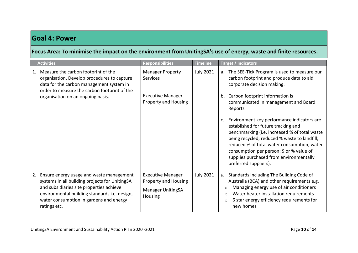# **Goal 4: Power**

**Focus Area: To minimise the impact on the environment from UnitingSA's use of energy, waste and finite resources.**

|    | <b>Activities</b>                                                                                                                                                                                                                                  | <b>Responsibilities</b>                                                                        | <b>Timeline</b>  | <b>Target / Indicators</b>                                                                                                                                                                                                                                                                                                                        |
|----|----------------------------------------------------------------------------------------------------------------------------------------------------------------------------------------------------------------------------------------------------|------------------------------------------------------------------------------------------------|------------------|---------------------------------------------------------------------------------------------------------------------------------------------------------------------------------------------------------------------------------------------------------------------------------------------------------------------------------------------------|
| 1. | Measure the carbon footprint of the<br>organisation. Develop procedures to capture<br>data for the carbon management system in<br>order to measure the carbon footprint of the<br>organisation on an ongoing basis.                                | <b>Manager Property</b><br>Services<br><b>Executive Manager</b><br><b>Property and Housing</b> | <b>July 2021</b> | The SEE-Tick Program is used to measure our<br>a.<br>carbon footprint and produce data to aid<br>corporate decision making.<br>Carbon footprint information is<br>b.<br>communicated in management and Board<br>Reports                                                                                                                           |
|    |                                                                                                                                                                                                                                                    |                                                                                                |                  | Environment key performance indicators are<br>established for future tracking and<br>benchmarking (i.e. increased % of total waste<br>being recycled; reduced % waste to landfill;<br>reduced % of total water consumption, water<br>consumption per person; \$ or % value of<br>supplies purchased from environmentally<br>preferred suppliers). |
| 2. | Ensure energy usage and waste management<br>systems in all building projects for UnitingSA<br>and subsidiaries site properties achieve<br>environmental building standards i.e. design,<br>water consumption in gardens and energy<br>ratings etc. | <b>Executive Manager</b><br><b>Property and Housing</b><br><b>Manager UnitingSA</b><br>Housing | <b>July 2021</b> | Standards including The Building Code of<br>a.<br>Australia (BCA) and other requirements e.g.<br>Managing energy use of air conditioners<br>$\circ$<br>Water heater installation requirements<br>$\circ$<br>6 star energy efficiency requirements for<br>$\circ$<br>new homes                                                                     |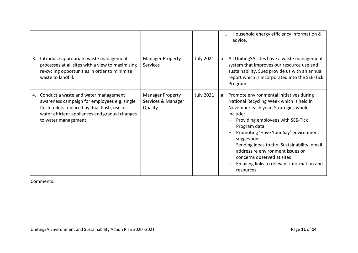|    |                                                                                                                                                                                                                |                                                          |                  | Household energy efficiency information &<br>$\circ$<br>advice.                                                                                                                                                                                                                                                                                                                                                                      |
|----|----------------------------------------------------------------------------------------------------------------------------------------------------------------------------------------------------------------|----------------------------------------------------------|------------------|--------------------------------------------------------------------------------------------------------------------------------------------------------------------------------------------------------------------------------------------------------------------------------------------------------------------------------------------------------------------------------------------------------------------------------------|
| 3. | Introduce appropriate waste management<br>processes at all sites with a view to maximising<br>re-cycling opportunities in order to minimise<br>waste to landfill.                                              | <b>Manager Property</b><br><b>Services</b>               | <b>July 2021</b> | a. All UnitingSA sites have a waste management<br>system that improves our resource use and<br>sustainability. Suez provide us with an annual<br>report which is incorporated into the SEE-Tick<br>Program                                                                                                                                                                                                                           |
| 4. | Conduct a waste and water management<br>awareness campaign for employees e.g. single<br>flush toilets replaced by dual flush, use of<br>water efficient appliances and gradual changes<br>to water management. | <b>Manager Property</b><br>Services & Manager<br>Quality | <b>July 2021</b> | a. Promote environmental initiatives during<br>National Recycling Week which is held in<br>November each year. Strategies would<br>include:<br>Providing employees with SEE-Tick<br>Program data<br>Promoting 'Have Your Say' environment<br>suggestions<br>Sending ideas to the 'Sustainability' email<br>address re environment issues or<br>concerns observed at sites<br>Emailing links to relevant information and<br>resources |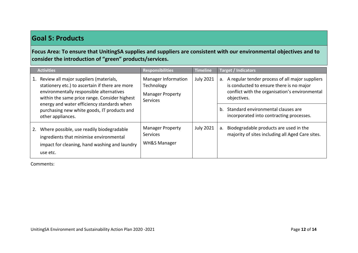# **Goal 5: Products**

**Focus Area: To ensure that UnitingSA supplies and suppliers are consistent with our environmental objectives and to consider the introduction of "green" products/services.**

| <b>Activities</b>                                                                                                                                                                                                                                                                                        | <b>Responsibilities</b>                                                                | <b>Timeline</b>  | <b>Target / Indicators</b>                                                                                                                                                                                                                                      |
|----------------------------------------------------------------------------------------------------------------------------------------------------------------------------------------------------------------------------------------------------------------------------------------------------------|----------------------------------------------------------------------------------------|------------------|-----------------------------------------------------------------------------------------------------------------------------------------------------------------------------------------------------------------------------------------------------------------|
| Review all major suppliers (materials,<br>stationery etc.) to ascertain if there are more<br>environmentally responsible alternatives<br>within the same price range. Consider highest<br>energy and water efficiency standards when<br>purchasing new white goods, IT products and<br>other appliances. | <b>Manager Information</b><br>Technology<br><b>Manager Property</b><br><b>Services</b> | <b>July 2021</b> | A regular tender process of all major suppliers<br>a.<br>is conducted to ensure there is no major<br>conflict with the organisation's environmental<br>objectives.<br>Standard environmental clauses are<br>$h_{-}$<br>incorporated into contracting processes. |
| Where possible, use readily biodegradable<br>ingredients that minimise environmental<br>impact for cleaning, hand washing and laundry<br>use etc.                                                                                                                                                        | <b>Manager Property</b><br><b>Services</b><br><b>WH&amp;S Manager</b>                  | <b>July 2021</b> | Biodegradable products are used in the<br>a.<br>majority of sites including all Aged Care sites.                                                                                                                                                                |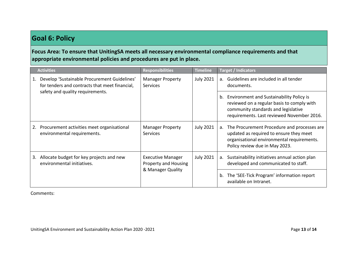# **Goal 6: Policy**

**Focus Area: To ensure that UnitingSA meets all necessary environmental compliance requirements and that appropriate environmental policies and procedures are put in place.**

|    | <b>Activities</b>                                                                              | <b>Responsibilities</b>                                                        | <b>Timeline</b>  | <b>Target / Indicators</b>                                                                                                                                                     |                                                                                             |
|----|------------------------------------------------------------------------------------------------|--------------------------------------------------------------------------------|------------------|--------------------------------------------------------------------------------------------------------------------------------------------------------------------------------|---------------------------------------------------------------------------------------------|
| 1. | Develop 'Sustainable Procurement Guidelines'<br>for tenders and contracts that meet financial, | <b>Manager Property</b><br><b>Services</b><br>safety and quality requirements. | <b>July 2021</b> | Guidelines are included in all tender<br>$a_{-}$<br>documents.                                                                                                                 |                                                                                             |
|    |                                                                                                |                                                                                |                  | b. Environment and Sustainability Policy is<br>reviewed on a regular basis to comply with<br>community standards and legislative<br>requirements. Last reviewed November 2016. |                                                                                             |
| 2. | Procurement activities meet organisational<br>environmental requirements.                      | <b>Manager Property</b><br><b>Services</b>                                     | <b>July 2021</b> | The Procurement Procedure and processes are<br>a.<br>updated as required to ensure they meet<br>organisational environmental requirements.<br>Policy review due in May 2023.   |                                                                                             |
| 3. | Allocate budget for key projects and new<br>environmental initiatives.                         | <b>Executive Manager</b><br><b>Property and Housing</b><br>& Manager Quality   |                  | <b>July 2021</b>                                                                                                                                                               | Sustainability initiatives annual action plan<br>а.<br>developed and communicated to staff. |
|    |                                                                                                |                                                                                |                  |                                                                                                                                                                                | The 'SEE-Tick Program' information report<br>b.<br>available on Intranet.                   |